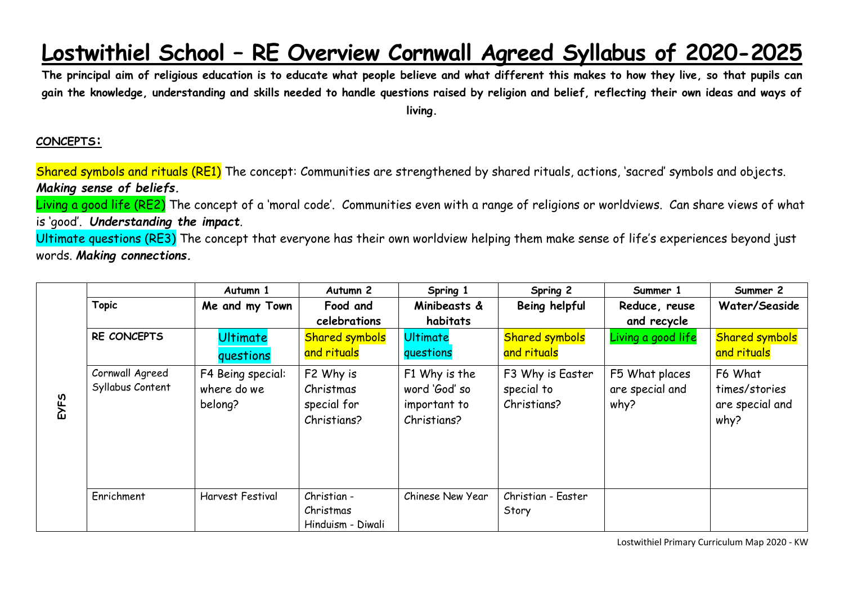## **Lostwithiel School – RE Overview Cornwall Agreed Syllabus of 2020-2025**

**The principal aim of religious education is to educate what people believe and what different this makes to how they live, so that pupils can gain the knowledge, understanding and skills needed to handle questions raised by religion and belief, reflecting their own ideas and ways of living.**

## **CONCEPTS:**

Shared symbols and rituals (RE1) The concept: Communities are strengthened by shared rituals, actions, 'sacred' symbols and objects. *Making sense of beliefs.*

Living a good life (RE2) The concept of a 'moral code'. Communities even with a range of religions or worldviews. Can share views of what is 'good'. *Understanding the impact*.

Ultimate questions (RE3) The concept that everyone has their own worldview helping them make sense of life's experiences beyond just words. *Making connections.*

|      |                  | Autumn 1          | Autumn <sub>2</sub>   | Spring 1         | Spring 2              | Summer 1           | Summer 2              |
|------|------------------|-------------------|-----------------------|------------------|-----------------------|--------------------|-----------------------|
|      | <b>Topic</b>     | Me and my Town    | Food and              | Minibeasts &     | Being helpful         | Reduce, reuse      | Water/Seaside         |
|      |                  |                   | celebrations          | habitats         |                       | and recycle        |                       |
|      | RE CONCEPTS      | <b>Ultimate</b>   | <b>Shared symbols</b> | <b>Ultimate</b>  | <b>Shared symbols</b> | Living a good life | <b>Shared symbols</b> |
| EYFS |                  | questions         | and rituals           | questions        | and rituals           |                    | and rituals           |
|      | Cornwall Agreed  | F4 Being special: | F2 Why is             | F1 Why is the    | F3 Why is Easter      | F5 What places     | F6 What               |
|      | Syllabus Content | where do we       | Christmas             | word 'God' so    | special to            | are special and    | times/stories         |
|      |                  | belong?           | special for           | important to     | Christians?           | why?               | are special and       |
|      |                  |                   | Christians?           | Christians?      |                       |                    | why?                  |
|      |                  |                   |                       |                  |                       |                    |                       |
|      |                  |                   |                       |                  |                       |                    |                       |
|      |                  |                   |                       |                  |                       |                    |                       |
|      |                  |                   |                       |                  |                       |                    |                       |
|      | Enrichment       | Harvest Festival  | Christian -           | Chinese New Year | Christian - Easter    |                    |                       |
|      |                  |                   | Christmas             |                  | Story                 |                    |                       |
|      |                  |                   | Hinduism - Diwali     |                  |                       |                    |                       |

Lostwithiel Primary Curriculum Map 2020 - KW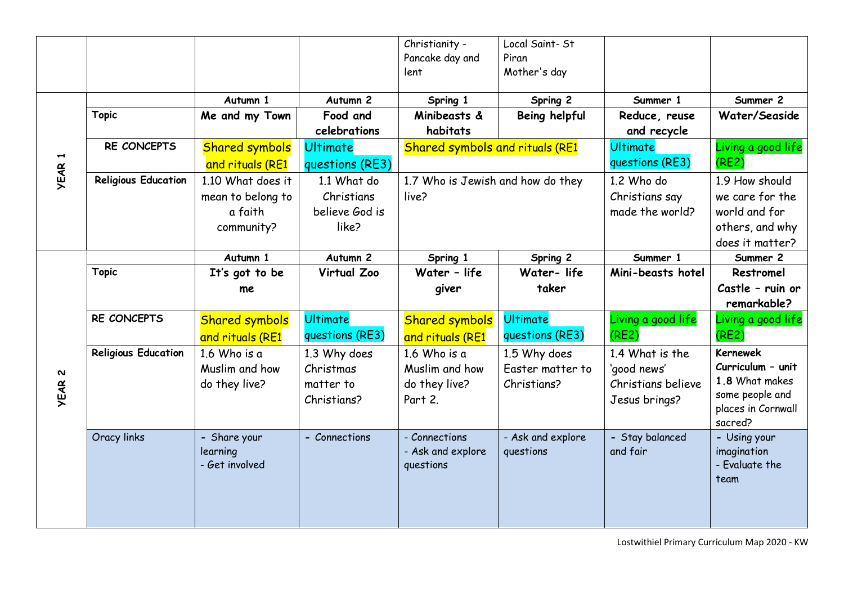|               |                            |                                            |                                    | Christianity -<br>Pancake day and<br>lent       | Local Saint-St<br>Piran<br>Mother's day |                                    |                                                       |
|---------------|----------------------------|--------------------------------------------|------------------------------------|-------------------------------------------------|-----------------------------------------|------------------------------------|-------------------------------------------------------|
|               |                            |                                            |                                    |                                                 |                                         |                                    |                                                       |
|               | <b>Topic</b>               | Autumn 1<br>Me and my Town                 | Autumn 2<br>Food and               | Spring 1<br>Minibeasts &                        | Spring 2                                | Summer 1<br>Reduce, reuse          | Summer 2<br>Water/Seaside                             |
|               |                            |                                            | celebrations                       | habitats                                        | Being helpful                           | and recycle                        |                                                       |
|               | RE CONCEPTS                | <b>Shared symbols</b>                      | <b>Ultimate</b>                    | <b>Shared symbols and rituals (RE1</b>          |                                         | <b>Ultimate</b><br>questions (RE3) | Living a good life                                    |
| <b>YEAR 1</b> |                            | and rituals (RE1                           | questions (RE3)                    |                                                 |                                         |                                    | (RE2)                                                 |
|               | <b>Religious Education</b> | 1.10 What does it<br>mean to belong to     | 1.1 What do<br>Christians          | 1.7 Who is Jewish and how do they<br>live?      |                                         | 1.2 Who do<br>Christians say       | 1.9 How should<br>we care for the                     |
|               |                            | a faith                                    | believe God is                     |                                                 |                                         | made the world?                    | world and for                                         |
|               |                            | community?                                 | like?                              |                                                 |                                         |                                    | others, and why                                       |
|               |                            |                                            |                                    |                                                 |                                         |                                    | does it matter?                                       |
|               |                            | Autumn 1                                   | Autumn 2                           | Spring 1                                        | Spring 2                                | Summer 1                           | Summer 2                                              |
|               | <b>Topic</b>               | It's got to be                             | Virtual Zoo                        | Water - life                                    | Water-life                              | Mini-beasts hotel                  | Restromel                                             |
|               |                            | me                                         |                                    | giver                                           | taker                                   |                                    | Castle - ruin or                                      |
|               |                            |                                            |                                    |                                                 |                                         |                                    | remarkable?                                           |
|               | RE CONCEPTS                | <b>Shared symbols</b><br>and rituals (RE1  | <b>Ultimate</b><br>questions (RE3) | <b>Shared symbols</b><br>and rituals (RE1       | <b>Ultimate</b><br>questions (RE3)      | Living a good life<br>(RE2)        | Living a good life<br>(RE2)                           |
|               | <b>Religious Education</b> | $1.6$ Who is a                             | 1.3 Why does                       | 1.6 Who is a                                    | 1.5 Why does                            | 1.4 What is the                    | <b>Kernewek</b>                                       |
| Z             |                            | Muslim and how                             | Christmas                          | Muslim and how                                  | Easter matter to                        | 'good news'                        | Curriculum - unit                                     |
| <b>YEAR</b>   |                            | do they live?                              | matter to                          | do they live?                                   | Christians?                             | Christians believe                 | 1.8 What makes                                        |
|               |                            |                                            | Christians?                        | Part 2.                                         |                                         | Jesus brings?                      | some people and<br>places in Cornwall<br>sacred?      |
|               | Oracy links                | - Share your<br>learning<br>- Get involved | - Connections                      | - Connections<br>- Ask and explore<br>questions | - Ask and explore<br>questions          | - Stay balanced<br>and fair        | - Using your<br>imagination<br>- Evaluate the<br>team |
|               |                            |                                            |                                    |                                                 |                                         |                                    |                                                       |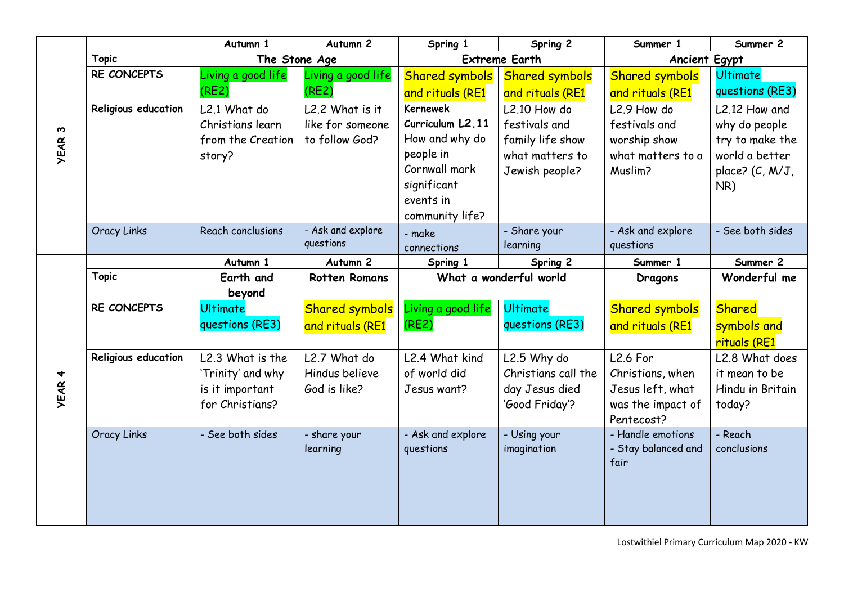|               |                     | Autumn 1           | Autumn <sub>2</sub>   | Spring 1               | Spring 2              | Summer 1                    | Summer 2         |
|---------------|---------------------|--------------------|-----------------------|------------------------|-----------------------|-----------------------------|------------------|
| ო             | <b>Topic</b>        | The Stone Age      |                       | <b>Extreme Earth</b>   |                       | <b>Ancient Egypt</b>        |                  |
|               | RE CONCEPTS         | Living a good life | Living a good life    | <b>Shared symbols</b>  | <b>Shared symbols</b> | <b>Shared symbols</b>       | <b>Ultimate</b>  |
|               |                     | (RE2)              | (RE2)                 | and rituals (RE1       | and rituals (RE1      | and rituals (RE1            | questions (RE3)  |
|               | Religious education | L2.1 What do       | L2.2 What is it       | <b>Kernewek</b>        | L2.10 How do          | L <sub>2.9</sub> How do     | L2.12 How and    |
|               |                     | Christians learn   | like for someone      | Curriculum L2.11       | festivals and         | festivals and               | why do people    |
|               |                     | from the Creation  | to follow God?        | How and why do         | family life show      | worship show                | try to make the  |
| <b>YEAR</b>   |                     | story?             |                       | people in              | what matters to       | what matters to a           | world a better   |
|               |                     |                    |                       | Cornwall mark          | Jewish people?        | Muslim?                     | place? (C, M/J,  |
|               |                     |                    |                       | significant            |                       |                             | NR)              |
|               |                     |                    |                       | events in              |                       |                             |                  |
|               |                     |                    |                       | community life?        |                       |                             |                  |
|               | <b>Oracy Links</b>  | Reach conclusions  | - Ask and explore     | - make                 | - Share your          | - Ask and explore           | - See both sides |
|               |                     |                    | questions             | connections            | learning              | questions                   |                  |
|               |                     | Autumn 1           | Autumn 2              | Spring 1               | Spring 2              | Summer 1                    | Summer 2         |
|               | <b>Topic</b>        | Earth and          | <b>Rotten Romans</b>  | What a wonderful world |                       | <b>Dragons</b>              | Wonderful me     |
|               |                     | beyond             |                       |                        |                       |                             |                  |
|               | RE CONCEPTS         | <b>Ultimate</b>    | <b>Shared symbols</b> | Living a good life     | <b>Ultimate</b>       | <b>Shared symbols</b>       | <b>Shared</b>    |
|               |                     | questions (RE3)    | and rituals (RE1      | (RE2)                  | questions (RE3)       | and rituals (RE1            | symbols and      |
|               |                     |                    |                       |                        |                       |                             | rituals (RE1     |
|               | Religious education | L2.3 What is the   | L2.7 What do          | L2.4 What kind         | L2.5 Why do           | <b>L2.6 For</b>             | L2.8 What does   |
|               |                     | 'Trinity' and why  | Hindus believe        | of world did           | Christians call the   | Christians, when            | it mean to be    |
| <b>YEAR 4</b> |                     | is it important    | God is like?          | Jesus want?            | day Jesus died        | Jesus left, what            | Hindu in Britain |
|               |                     | for Christians?    |                       |                        | 'Good Friday'?        | was the impact of           | today?           |
|               |                     |                    |                       |                        |                       | Pentecost?                  |                  |
|               | <b>Oracy Links</b>  | - See both sides   | - share your          | - Ask and explore      | - Using your          | - Handle emotions           | - Reach          |
|               |                     |                    | learning              | questions              | imagination           | - Stay balanced and<br>fair | conclusions      |
|               |                     |                    |                       |                        |                       |                             |                  |
|               |                     |                    |                       |                        |                       |                             |                  |
|               |                     |                    |                       |                        |                       |                             |                  |
|               |                     |                    |                       |                        |                       |                             |                  |